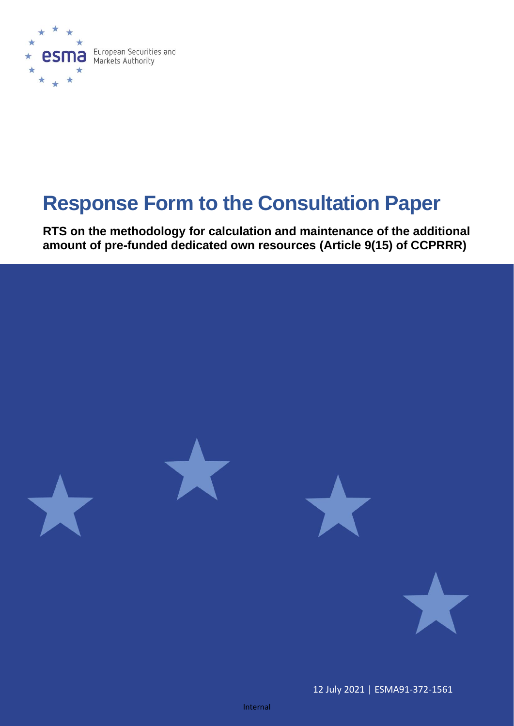

# **Response Form to the Consultation Paper**

**RTS on the methodology for calculation and maintenance of the additional amount of pre-funded dedicated own resources (Article 9(15) of CCPRRR)**



12 July 2021 | ESMA91-372-1561

Internal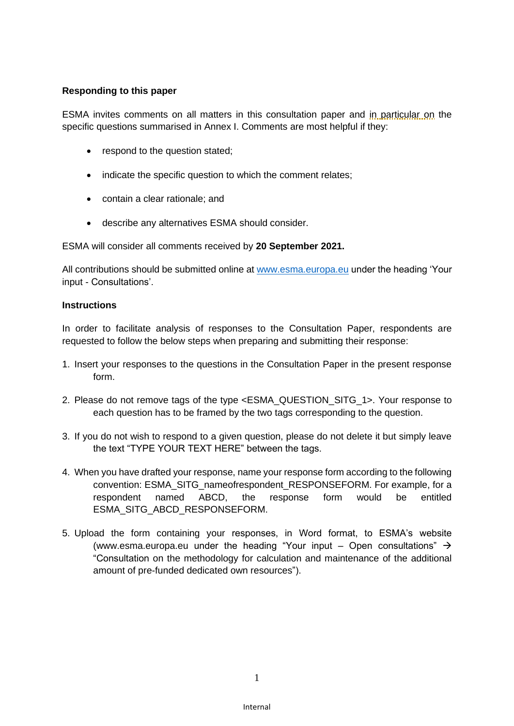## **Responding to this paper**

ESMA invites comments on all matters in this consultation paper and in particular on the specific questions summarised in Annex I. Comments are most helpful if they:

- respond to the question stated;
- indicate the specific question to which the comment relates;
- contain a clear rationale; and
- describe any alternatives ESMA should consider.

ESMA will consider all comments received by **20 September 2021.** 

All contributions should be submitted online at [www.esma.europa.eu](http://www.esma.europa.eu/) under the heading 'Your input - Consultations'.

#### **Instructions**

In order to facilitate analysis of responses to the Consultation Paper, respondents are requested to follow the below steps when preparing and submitting their response:

- 1. Insert your responses to the questions in the Consultation Paper in the present response form.
- 2. Please do not remove tags of the type <ESMA\_QUESTION\_SITG\_1>. Your response to each question has to be framed by the two tags corresponding to the question.
- 3. If you do not wish to respond to a given question, please do not delete it but simply leave the text "TYPE YOUR TEXT HERE" between the tags.
- 4. When you have drafted your response, name your response form according to the following convention: ESMA\_SITG\_nameofrespondent\_RESPONSEFORM. For example, for a respondent named ABCD, the response form would be entitled ESMA\_SITG\_ABCD\_RESPONSEFORM.
- 5. Upload the form containing your responses, in Word format, to ESMA's website [\(www.esma.europa.eu](http://www.esma.europa.eu/) under the heading "Your input – Open consultations"  $\rightarrow$ "Consultation on the methodology for calculation and maintenance of the additional amount of pre-funded dedicated own resources").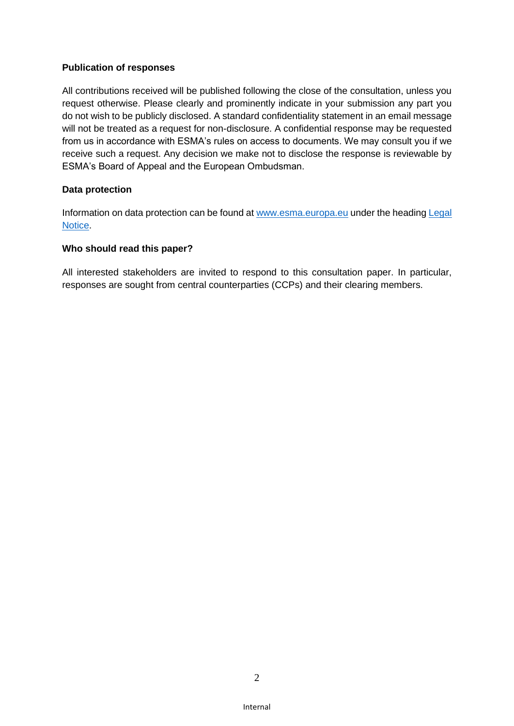## **Publication of responses**

All contributions received will be published following the close of the consultation, unless you request otherwise. Please clearly and prominently indicate in your submission any part you do not wish to be publicly disclosed. A standard confidentiality statement in an email message will not be treated as a request for non-disclosure. A confidential response may be requested from us in accordance with ESMA's rules on access to documents. We may consult you if we receive such a request. Any decision we make not to disclose the response is reviewable by ESMA's Board of Appeal and the European Ombudsman.

## **Data protection**

Information on data protection can be found at [www.esma.europa.eu](http://www.esma.europa.eu/) under the headin[g Legal](http://www.esma.europa.eu/legal-notice)  [Notice.](http://www.esma.europa.eu/legal-notice)

#### **Who should read this paper?**

All interested stakeholders are invited to respond to this consultation paper. In particular, responses are sought from central counterparties (CCPs) and their clearing members.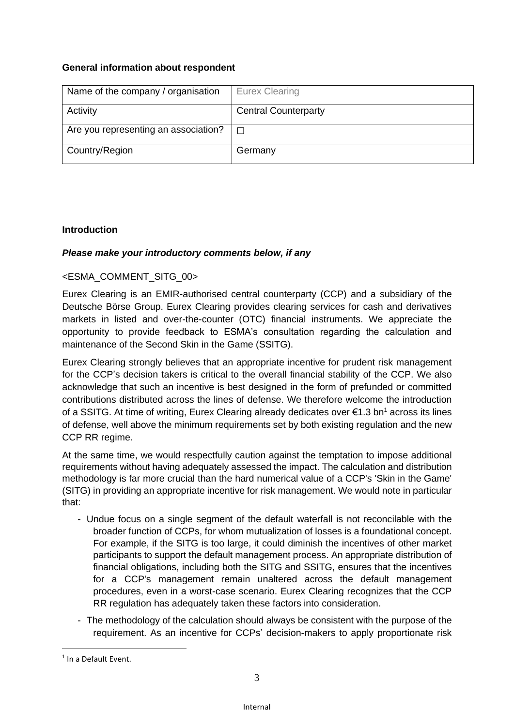# **General information about respondent**

| Name of the company / organisation   | <b>Eurex Clearing</b>       |
|--------------------------------------|-----------------------------|
| Activity                             | <b>Central Counterparty</b> |
| Are you representing an association? | $\Box$                      |
| Country/Region                       | Germany                     |

# **Introduction**

# *Please make your introductory comments below, if any*

# <ESMA\_COMMENT\_SITG\_00>

Eurex Clearing is an EMIR-authorised central counterparty (CCP) and a subsidiary of the Deutsche Börse Group. Eurex Clearing provides clearing services for cash and derivatives markets in listed and over-the-counter (OTC) financial instruments. We appreciate the opportunity to provide feedback to ESMA's consultation regarding the calculation and maintenance of the Second Skin in the Game (SSITG).

Eurex Clearing strongly believes that an appropriate incentive for prudent risk management for the CCP's decision takers is critical to the overall financial stability of the CCP. We also acknowledge that such an incentive is best designed in the form of prefunded or committed contributions distributed across the lines of defense. We therefore welcome the introduction of a SSITG. At time of writing, Eurex Clearing already dedicates over €1.3 bn<sup>1</sup> across its lines of defense, well above the minimum requirements set by both existing regulation and the new CCP RR regime.

At the same time, we would respectfully caution against the temptation to impose additional requirements without having adequately assessed the impact. The calculation and distribution methodology is far more crucial than the hard numerical value of a CCP's 'Skin in the Game' (SITG) in providing an appropriate incentive for risk management. We would note in particular that:

- Undue focus on a single segment of the default waterfall is not reconcilable with the broader function of CCPs, for whom mutualization of losses is a foundational concept. For example, if the SITG is too large, it could diminish the incentives of other market participants to support the default management process. An appropriate distribution of financial obligations, including both the SITG and SSITG, ensures that the incentives for a CCP's management remain unaltered across the default management procedures, even in a worst-case scenario. Eurex Clearing recognizes that the CCP RR regulation has adequately taken these factors into consideration.
- The methodology of the calculation should always be consistent with the purpose of the requirement. As an incentive for CCPs' decision-makers to apply proportionate risk

<sup>&</sup>lt;sup>1</sup> In a Default Event.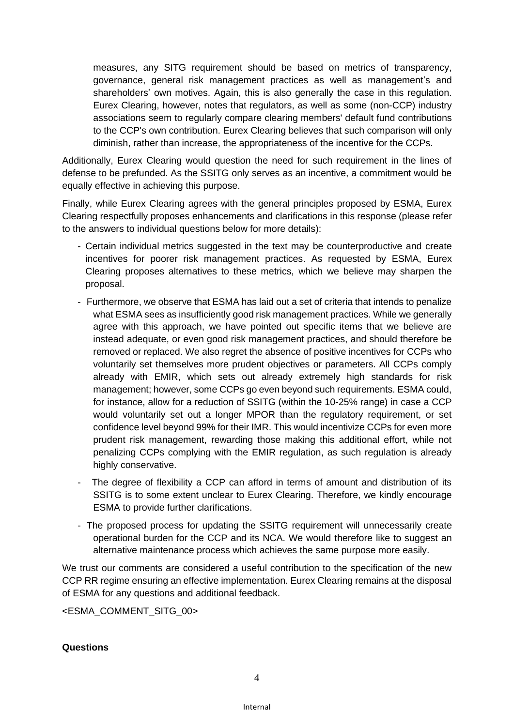measures, any SITG requirement should be based on metrics of transparency, governance, general risk management practices as well as management's and shareholders' own motives. Again, this is also generally the case in this regulation. Eurex Clearing, however, notes that regulators, as well as some (non-CCP) industry associations seem to regularly compare clearing members' default fund contributions to the CCP's own contribution. Eurex Clearing believes that such comparison will only diminish, rather than increase, the appropriateness of the incentive for the CCPs.

Additionally, Eurex Clearing would question the need for such requirement in the lines of defense to be prefunded. As the SSITG only serves as an incentive, a commitment would be equally effective in achieving this purpose.

Finally, while Eurex Clearing agrees with the general principles proposed by ESMA, Eurex Clearing respectfully proposes enhancements and clarifications in this response (please refer to the answers to individual questions below for more details):

- Certain individual metrics suggested in the text may be counterproductive and create incentives for poorer risk management practices. As requested by ESMA, Eurex Clearing proposes alternatives to these metrics, which we believe may sharpen the proposal.
- Furthermore, we observe that ESMA has laid out a set of criteria that intends to penalize what ESMA sees as insufficiently good risk management practices. While we generally agree with this approach, we have pointed out specific items that we believe are instead adequate, or even good risk management practices, and should therefore be removed or replaced. We also regret the absence of positive incentives for CCPs who voluntarily set themselves more prudent objectives or parameters. All CCPs comply already with EMIR, which sets out already extremely high standards for risk management; however, some CCPs go even beyond such requirements. ESMA could, for instance, allow for a reduction of SSITG (within the 10-25% range) in case a CCP would voluntarily set out a longer MPOR than the regulatory requirement, or set confidence level beyond 99% for their IMR. This would incentivize CCPs for even more prudent risk management, rewarding those making this additional effort, while not penalizing CCPs complying with the EMIR regulation, as such regulation is already highly conservative.
- The degree of flexibility a CCP can afford in terms of amount and distribution of its SSITG is to some extent unclear to Eurex Clearing. Therefore, we kindly encourage ESMA to provide further clarifications.
- The proposed process for updating the SSITG requirement will unnecessarily create operational burden for the CCP and its NCA. We would therefore like to suggest an alternative maintenance process which achieves the same purpose more easily.

We trust our comments are considered a useful contribution to the specification of the new CCP RR regime ensuring an effective implementation. Eurex Clearing remains at the disposal of ESMA for any questions and additional feedback.

<ESMA\_COMMENT\_SITG\_00>

#### **Questions**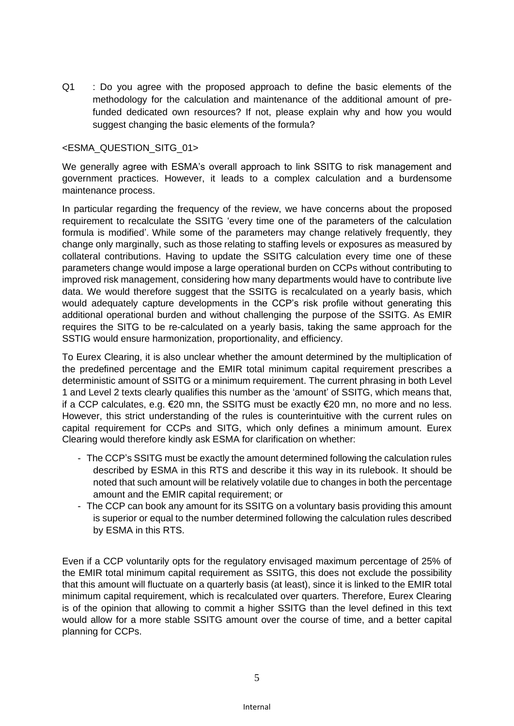Q1 : Do you agree with the proposed approach to define the basic elements of the methodology for the calculation and maintenance of the additional amount of prefunded dedicated own resources? If not, please explain why and how you would suggest changing the basic elements of the formula?

#### <ESMA\_QUESTION\_SITG\_01>

We generally agree with ESMA's overall approach to link SSITG to risk management and government practices. However, it leads to a complex calculation and a burdensome maintenance process.

In particular regarding the frequency of the review, we have concerns about the proposed requirement to recalculate the SSITG 'every time one of the parameters of the calculation formula is modified'. While some of the parameters may change relatively frequently, they change only marginally, such as those relating to staffing levels or exposures as measured by collateral contributions. Having to update the SSITG calculation every time one of these parameters change would impose a large operational burden on CCPs without contributing to improved risk management, considering how many departments would have to contribute live data. We would therefore suggest that the SSITG is recalculated on a yearly basis, which would adequately capture developments in the CCP's risk profile without generating this additional operational burden and without challenging the purpose of the SSITG. As EMIR requires the SITG to be re-calculated on a yearly basis, taking the same approach for the SSTIG would ensure harmonization, proportionality, and efficiency.

To Eurex Clearing, it is also unclear whether the amount determined by the multiplication of the predefined percentage and the EMIR total minimum capital requirement prescribes a deterministic amount of SSITG or a minimum requirement. The current phrasing in both Level 1 and Level 2 texts clearly qualifies this number as the 'amount' of SSITG, which means that, if a CCP calculates, e.g. €20 mn, the SSITG must be exactly €20 mn, no more and no less. However, this strict understanding of the rules is counterintuitive with the current rules on capital requirement for CCPs and SITG, which only defines a minimum amount. Eurex Clearing would therefore kindly ask ESMA for clarification on whether:

- The CCP's SSITG must be exactly the amount determined following the calculation rules described by ESMA in this RTS and describe it this way in its rulebook. It should be noted that such amount will be relatively volatile due to changes in both the percentage amount and the EMIR capital requirement; or
- The CCP can book any amount for its SSITG on a voluntary basis providing this amount is superior or equal to the number determined following the calculation rules described by ESMA in this RTS.

Even if a CCP voluntarily opts for the regulatory envisaged maximum percentage of 25% of the EMIR total minimum capital requirement as SSITG, this does not exclude the possibility that this amount will fluctuate on a quarterly basis (at least), since it is linked to the EMIR total minimum capital requirement, which is recalculated over quarters. Therefore, Eurex Clearing is of the opinion that allowing to commit a higher SSITG than the level defined in this text would allow for a more stable SSITG amount over the course of time, and a better capital planning for CCPs.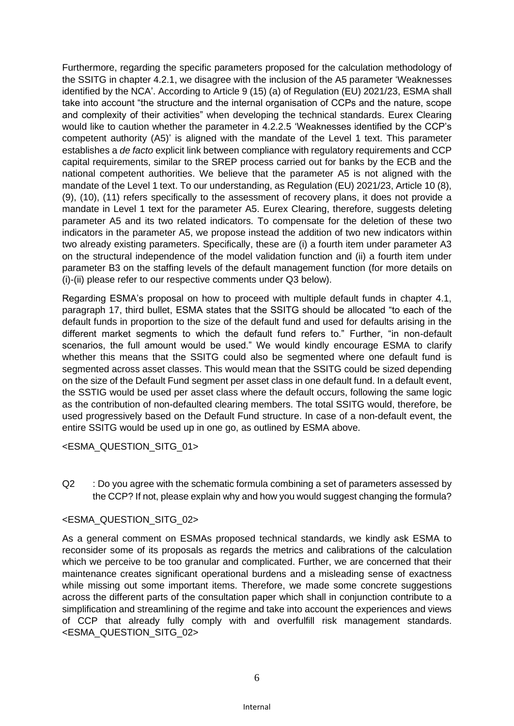Furthermore, regarding the specific parameters proposed for the calculation methodology of the SSITG in chapter 4.2.1, we disagree with the inclusion of the A5 parameter 'Weaknesses identified by the NCA'. According to Article 9 (15) (a) of Regulation (EU) 2021/23, ESMA shall take into account "the structure and the internal organisation of CCPs and the nature, scope and complexity of their activities" when developing the technical standards. Eurex Clearing would like to caution whether the parameter in 4.2.2.5 'Weaknesses identified by the CCP's competent authority (A5)' is aligned with the mandate of the Level 1 text. This parameter establishes a *de facto* explicit link between compliance with regulatory requirements and CCP capital requirements, similar to the SREP process carried out for banks by the ECB and the national competent authorities. We believe that the parameter A5 is not aligned with the mandate of the Level 1 text. To our understanding, as Regulation (EU) 2021/23, Article 10 (8), (9), (10), (11) refers specifically to the assessment of recovery plans, it does not provide a mandate in Level 1 text for the parameter A5. Eurex Clearing, therefore, suggests deleting parameter A5 and its two related indicators. To compensate for the deletion of these two indicators in the parameter A5, we propose instead the addition of two new indicators within two already existing parameters. Specifically, these are (i) a fourth item under parameter A3 on the structural independence of the model validation function and (ii) a fourth item under parameter B3 on the staffing levels of the default management function (for more details on (i)-(ii) please refer to our respective comments under Q3 below).

Regarding ESMA's proposal on how to proceed with multiple default funds in chapter 4.1, paragraph 17, third bullet, ESMA states that the SSITG should be allocated "to each of the default funds in proportion to the size of the default fund and used for defaults arising in the different market segments to which the default fund refers to." Further, "in non-default scenarios, the full amount would be used." We would kindly encourage ESMA to clarify whether this means that the SSITG could also be segmented where one default fund is segmented across asset classes. This would mean that the SSITG could be sized depending on the size of the Default Fund segment per asset class in one default fund. In a default event, the SSTIG would be used per asset class where the default occurs, following the same logic as the contribution of non-defaulted clearing members. The total SSITG would, therefore, be used progressively based on the Default Fund structure. In case of a non-default event, the entire SSITG would be used up in one go, as outlined by ESMA above.

<ESMA\_QUESTION\_SITG\_01>

Q2 : Do you agree with the schematic formula combining a set of parameters assessed by the CCP? If not, please explain why and how you would suggest changing the formula?

## <ESMA\_QUESTION\_SITG\_02>

As a general comment on ESMAs proposed technical standards, we kindly ask ESMA to reconsider some of its proposals as regards the metrics and calibrations of the calculation which we perceive to be too granular and complicated. Further, we are concerned that their maintenance creates significant operational burdens and a misleading sense of exactness while missing out some important items. Therefore, we made some concrete suggestions across the different parts of the consultation paper which shall in conjunction contribute to a simplification and streamlining of the regime and take into account the experiences and views of CCP that already fully comply with and overfulfill risk management standards. <ESMA\_QUESTION\_SITG\_02>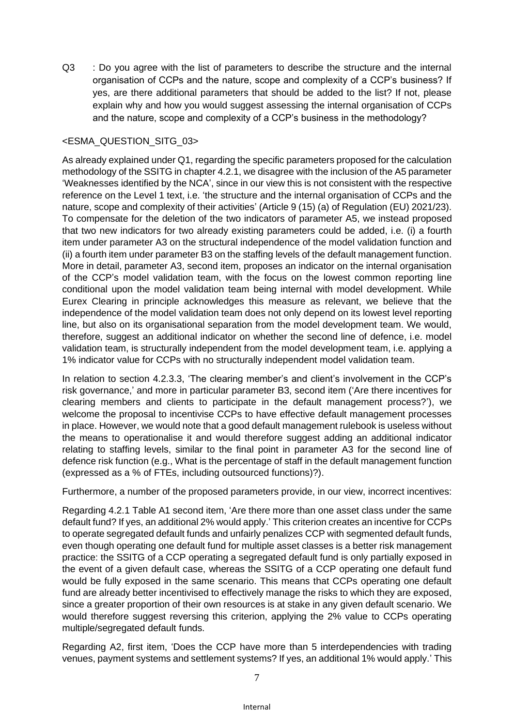Q3 : Do you agree with the list of parameters to describe the structure and the internal organisation of CCPs and the nature, scope and complexity of a CCP's business? If yes, are there additional parameters that should be added to the list? If not, please explain why and how you would suggest assessing the internal organisation of CCPs and the nature, scope and complexity of a CCP's business in the methodology?

# <ESMA\_QUESTION\_SITG\_03>

As already explained under Q1, regarding the specific parameters proposed for the calculation methodology of the SSITG in chapter 4.2.1, we disagree with the inclusion of the A5 parameter 'Weaknesses identified by the NCA', since in our view this is not consistent with the respective reference on the Level 1 text, i.e. 'the structure and the internal organisation of CCPs and the nature, scope and complexity of their activities' (Article 9 (15) (a) of Regulation (EU) 2021/23). To compensate for the deletion of the two indicators of parameter A5, we instead proposed that two new indicators for two already existing parameters could be added, i.e. (i) a fourth item under parameter A3 on the structural independence of the model validation function and (ii) a fourth item under parameter B3 on the staffing levels of the default management function. More in detail, parameter A3, second item, proposes an indicator on the internal organisation of the CCP's model validation team, with the focus on the lowest common reporting line conditional upon the model validation team being internal with model development. While Eurex Clearing in principle acknowledges this measure as relevant, we believe that the independence of the model validation team does not only depend on its lowest level reporting line, but also on its organisational separation from the model development team. We would, therefore, suggest an additional indicator on whether the second line of defence, i.e. model validation team, is structurally independent from the model development team, i.e. applying a 1% indicator value for CCPs with no structurally independent model validation team.

In relation to section 4.2.3.3, 'The clearing member's and client's involvement in the CCP's risk governance,' and more in particular parameter B3, second item ('Are there incentives for clearing members and clients to participate in the default management process?'), we welcome the proposal to incentivise CCPs to have effective default management processes in place. However, we would note that a good default management rulebook is useless without the means to operationalise it and would therefore suggest adding an additional indicator relating to staffing levels, similar to the final point in parameter A3 for the second line of defence risk function (e.g., What is the percentage of staff in the default management function (expressed as a % of FTEs, including outsourced functions)?).

Furthermore, a number of the proposed parameters provide, in our view, incorrect incentives:

Regarding 4.2.1 Table A1 second item, 'Are there more than one asset class under the same default fund? If yes, an additional 2% would apply.' This criterion creates an incentive for CCPs to operate segregated default funds and unfairly penalizes CCP with segmented default funds, even though operating one default fund for multiple asset classes is a better risk management practice: the SSITG of a CCP operating a segregated default fund is only partially exposed in the event of a given default case, whereas the SSITG of a CCP operating one default fund would be fully exposed in the same scenario. This means that CCPs operating one default fund are already better incentivised to effectively manage the risks to which they are exposed, since a greater proportion of their own resources is at stake in any given default scenario. We would therefore suggest reversing this criterion, applying the 2% value to CCPs operating multiple/segregated default funds.

Regarding A2, first item, 'Does the CCP have more than 5 interdependencies with trading venues, payment systems and settlement systems? If yes, an additional 1% would apply.' This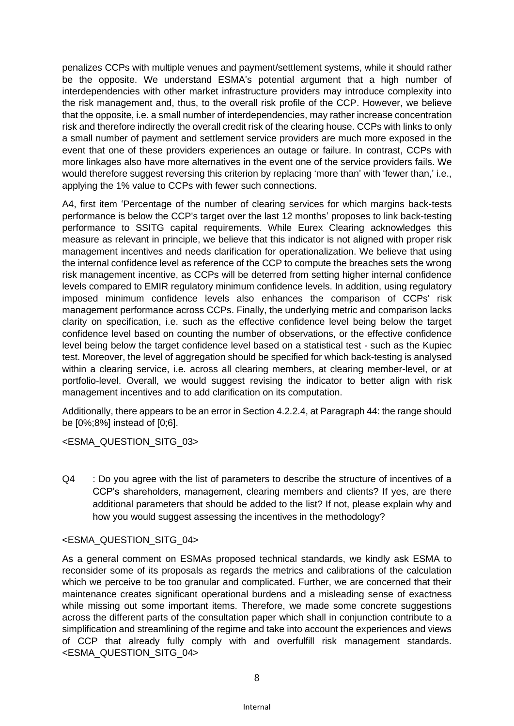penalizes CCPs with multiple venues and payment/settlement systems, while it should rather be the opposite. We understand ESMA's potential argument that a high number of interdependencies with other market infrastructure providers may introduce complexity into the risk management and, thus, to the overall risk profile of the CCP. However, we believe that the opposite, i.e. a small number of interdependencies, may rather increase concentration risk and therefore indirectly the overall credit risk of the clearing house. CCPs with links to only a small number of payment and settlement service providers are much more exposed in the event that one of these providers experiences an outage or failure. In contrast, CCPs with more linkages also have more alternatives in the event one of the service providers fails. We would therefore suggest reversing this criterion by replacing 'more than' with 'fewer than,' i.e., applying the 1% value to CCPs with fewer such connections.

A4, first item 'Percentage of the number of clearing services for which margins back-tests performance is below the CCP's target over the last 12 months' proposes to link back-testing performance to SSITG capital requirements. While Eurex Clearing acknowledges this measure as relevant in principle, we believe that this indicator is not aligned with proper risk management incentives and needs clarification for operationalization. We believe that using the internal confidence level as reference of the CCP to compute the breaches sets the wrong risk management incentive, as CCPs will be deterred from setting higher internal confidence levels compared to EMIR regulatory minimum confidence levels. In addition, using regulatory imposed minimum confidence levels also enhances the comparison of CCPs' risk management performance across CCPs. Finally, the underlying metric and comparison lacks clarity on specification, i.e. such as the effective confidence level being below the target confidence level based on counting the number of observations, or the effective confidence level being below the target confidence level based on a statistical test - such as the Kupiec test. Moreover, the level of aggregation should be specified for which back-testing is analysed within a clearing service, i.e. across all clearing members, at clearing member-level, or at portfolio-level. Overall, we would suggest revising the indicator to better align with risk management incentives and to add clarification on its computation.

Additionally, there appears to be an error in Section 4.2.2.4, at Paragraph 44: the range should be [0%;8%] instead of [0;6].

## <ESMA\_QUESTION\_SITG\_03>

Q4 : Do you agree with the list of parameters to describe the structure of incentives of a CCP's shareholders, management, clearing members and clients? If yes, are there additional parameters that should be added to the list? If not, please explain why and how you would suggest assessing the incentives in the methodology?

#### <ESMA\_QUESTION\_SITG\_04>

As a general comment on ESMAs proposed technical standards, we kindly ask ESMA to reconsider some of its proposals as regards the metrics and calibrations of the calculation which we perceive to be too granular and complicated. Further, we are concerned that their maintenance creates significant operational burdens and a misleading sense of exactness while missing out some important items. Therefore, we made some concrete suggestions across the different parts of the consultation paper which shall in conjunction contribute to a simplification and streamlining of the regime and take into account the experiences and views of CCP that already fully comply with and overfulfill risk management standards. <ESMA\_QUESTION\_SITG\_04>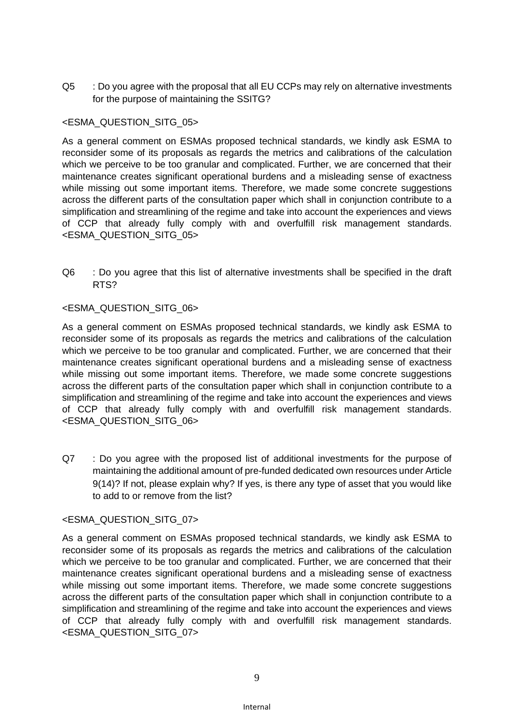Q5 : Do you agree with the proposal that all EU CCPs may rely on alternative investments for the purpose of maintaining the SSITG?

## <ESMA\_QUESTION\_SITG\_05>

As a general comment on ESMAs proposed technical standards, we kindly ask ESMA to reconsider some of its proposals as regards the metrics and calibrations of the calculation which we perceive to be too granular and complicated. Further, we are concerned that their maintenance creates significant operational burdens and a misleading sense of exactness while missing out some important items. Therefore, we made some concrete suggestions across the different parts of the consultation paper which shall in conjunction contribute to a simplification and streamlining of the regime and take into account the experiences and views of CCP that already fully comply with and overfulfill risk management standards. <ESMA\_QUESTION\_SITG\_05>

Q6 : Do you agree that this list of alternative investments shall be specified in the draft RTS?

#### <ESMA\_QUESTION\_SITG\_06>

As a general comment on ESMAs proposed technical standards, we kindly ask ESMA to reconsider some of its proposals as regards the metrics and calibrations of the calculation which we perceive to be too granular and complicated. Further, we are concerned that their maintenance creates significant operational burdens and a misleading sense of exactness while missing out some important items. Therefore, we made some concrete suggestions across the different parts of the consultation paper which shall in conjunction contribute to a simplification and streamlining of the regime and take into account the experiences and views of CCP that already fully comply with and overfulfill risk management standards. <ESMA\_QUESTION\_SITG\_06>

Q7 : Do you agree with the proposed list of additional investments for the purpose of maintaining the additional amount of pre-funded dedicated own resources under Article 9(14)? If not, please explain why? If yes, is there any type of asset that you would like to add to or remove from the list?

#### <ESMA\_QUESTION\_SITG\_07>

As a general comment on ESMAs proposed technical standards, we kindly ask ESMA to reconsider some of its proposals as regards the metrics and calibrations of the calculation which we perceive to be too granular and complicated. Further, we are concerned that their maintenance creates significant operational burdens and a misleading sense of exactness while missing out some important items. Therefore, we made some concrete suggestions across the different parts of the consultation paper which shall in conjunction contribute to a simplification and streamlining of the regime and take into account the experiences and views of CCP that already fully comply with and overfulfill risk management standards. <ESMA\_QUESTION\_SITG\_07>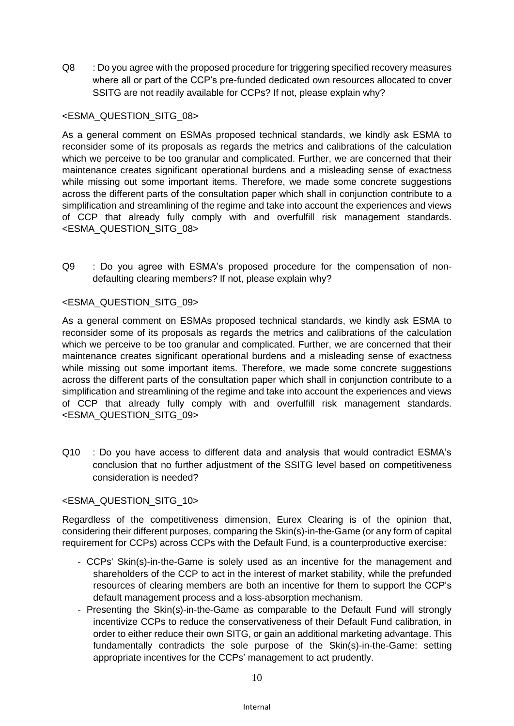Q8 : Do you agree with the proposed procedure for triggering specified recovery measures where all or part of the CCP's pre-funded dedicated own resources allocated to cover SSITG are not readily available for CCPs? If not, please explain why?

## <ESMA\_QUESTION\_SITG\_08>

As a general comment on ESMAs proposed technical standards, we kindly ask ESMA to reconsider some of its proposals as regards the metrics and calibrations of the calculation which we perceive to be too granular and complicated. Further, we are concerned that their maintenance creates significant operational burdens and a misleading sense of exactness while missing out some important items. Therefore, we made some concrete suggestions across the different parts of the consultation paper which shall in conjunction contribute to a simplification and streamlining of the regime and take into account the experiences and views of CCP that already fully comply with and overfulfill risk management standards. <ESMA\_QUESTION\_SITG\_08>

Q9 : Do you agree with ESMA's proposed procedure for the compensation of nondefaulting clearing members? If not, please explain why?

## <ESMA\_QUESTION\_SITG\_09>

As a general comment on ESMAs proposed technical standards, we kindly ask ESMA to reconsider some of its proposals as regards the metrics and calibrations of the calculation which we perceive to be too granular and complicated. Further, we are concerned that their maintenance creates significant operational burdens and a misleading sense of exactness while missing out some important items. Therefore, we made some concrete suggestions across the different parts of the consultation paper which shall in conjunction contribute to a simplification and streamlining of the regime and take into account the experiences and views of CCP that already fully comply with and overfulfill risk management standards. <ESMA\_QUESTION\_SITG\_09>

Q10 : Do you have access to different data and analysis that would contradict ESMA's conclusion that no further adjustment of the SSITG level based on competitiveness consideration is needed?

## <ESMA\_QUESTION\_SITG\_10>

Regardless of the competitiveness dimension, Eurex Clearing is of the opinion that, considering their different purposes, comparing the Skin(s)-in-the-Game (or any form of capital requirement for CCPs) across CCPs with the Default Fund, is a counterproductive exercise:

- CCPs' Skin(s)-in-the-Game is solely used as an incentive for the management and shareholders of the CCP to act in the interest of market stability, while the prefunded resources of clearing members are both an incentive for them to support the CCP's default management process and a loss-absorption mechanism.
- Presenting the Skin(s)-in-the-Game as comparable to the Default Fund will strongly incentivize CCPs to reduce the conservativeness of their Default Fund calibration, in order to either reduce their own SITG, or gain an additional marketing advantage. This fundamentally contradicts the sole purpose of the Skin(s)-in-the-Game: setting appropriate incentives for the CCPs' management to act prudently.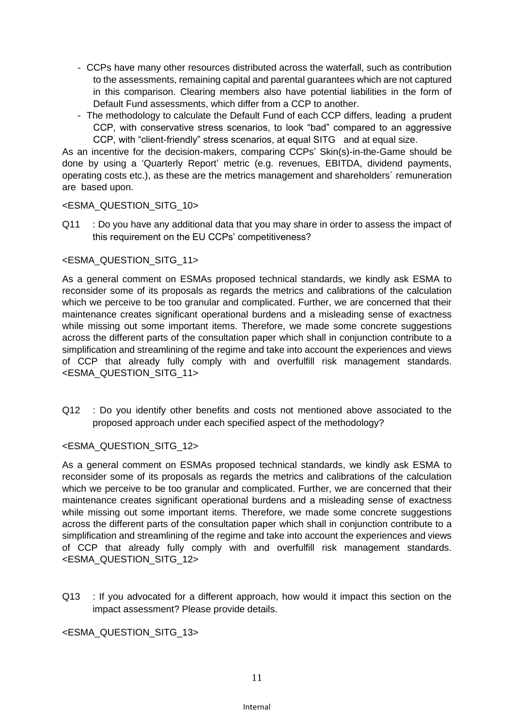- CCPs have many other resources distributed across the waterfall, such as contribution to the assessments, remaining capital and parental guarantees which are not captured in this comparison. Clearing members also have potential liabilities in the form of Default Fund assessments, which differ from a CCP to another.
- The methodology to calculate the Default Fund of each CCP differs, leading a prudent CCP, with conservative stress scenarios, to look "bad" compared to an aggressive CCP, with "client-friendly" stress scenarios, at equal SITG and at equal size.

As an incentive for the decision-makers, comparing CCPs' Skin(s)-in-the-Game should be done by using a 'Quarterly Report' metric (e.g. revenues, EBITDA, dividend payments, operating costs etc.), as these are the metrics management and shareholders´ remuneration are based upon.

#### <ESMA\_QUESTION\_SITG\_10>

Q11 : Do you have any additional data that you may share in order to assess the impact of this requirement on the EU CCPs' competitiveness?

## <ESMA\_QUESTION\_SITG\_11>

As a general comment on ESMAs proposed technical standards, we kindly ask ESMA to reconsider some of its proposals as regards the metrics and calibrations of the calculation which we perceive to be too granular and complicated. Further, we are concerned that their maintenance creates significant operational burdens and a misleading sense of exactness while missing out some important items. Therefore, we made some concrete suggestions across the different parts of the consultation paper which shall in conjunction contribute to a simplification and streamlining of the regime and take into account the experiences and views of CCP that already fully comply with and overfulfill risk management standards. <ESMA\_QUESTION\_SITG\_11>

Q12 : Do you identify other benefits and costs not mentioned above associated to the proposed approach under each specified aspect of the methodology?

## <ESMA\_QUESTION\_SITG\_12>

As a general comment on ESMAs proposed technical standards, we kindly ask ESMA to reconsider some of its proposals as regards the metrics and calibrations of the calculation which we perceive to be too granular and complicated. Further, we are concerned that their maintenance creates significant operational burdens and a misleading sense of exactness while missing out some important items. Therefore, we made some concrete suggestions across the different parts of the consultation paper which shall in conjunction contribute to a simplification and streamlining of the regime and take into account the experiences and views of CCP that already fully comply with and overfulfill risk management standards. <ESMA\_QUESTION\_SITG\_12>

Q13 : If you advocated for a different approach, how would it impact this section on the impact assessment? Please provide details.

## <ESMA\_QUESTION\_SITG\_13>